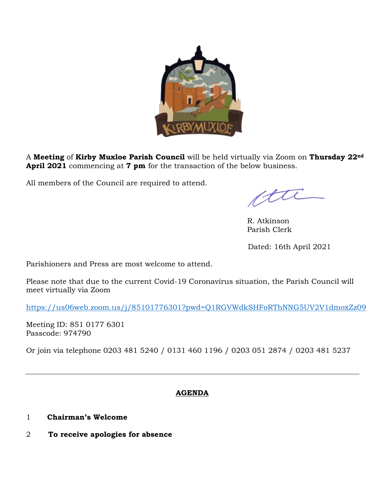

A **Meeting** of **Kirby Muxloe Parish Council** will be held virtually via Zoom on **Thursday 22nd April 2021** commencing at **7 pm** for the transaction of the below business.

All members of the Council are required to attend.

ette

 R. Atkinson Parish Clerk

Dated: 16th April 2021

Parishioners and Press are most welcome to attend.

Please note that due to the current Covid-19 Coronavirus situation, the Parish Council will meet virtually via Zoom

<https://us06web.zoom.us/j/85101776301?pwd=Q1RGVWdkSHFoRThNNG5UV2V1dmoxZz09>

Meeting ID: 851 0177 6301 Passcode: 974790

Or join via telephone 0203 481 5240 / 0131 460 1196 / 0203 051 2874 / 0203 481 5237

# **AGENDA**

- 1 **Chairman's Welcome**
- 2 **To receive apologies for absence**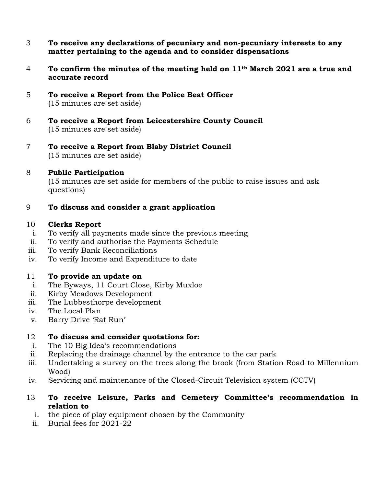- 3 **To receive any declarations of pecuniary and non-pecuniary interests to any matter pertaining to the agenda and to consider dispensations**
- 4 **To confirm the minutes of the meeting held on 11th March 2021 are a true and accurate record**
- 5 **To receive a Report from the Police Beat Officer** (15 minutes are set aside)
- 6 **To receive a Report from Leicestershire County Council** (15 minutes are set aside)
- 7 **To receive a Report from Blaby District Council** (15 minutes are set aside)

### 8 **Public Participation**

(15 minutes are set aside for members of the public to raise issues and ask questions)

# 9 **To discuss and consider a grant application**

### 10 **Clerks Report**

- i. To verify all payments made since the previous meeting
- ii. To verify and authorise the Payments Schedule
- iii. To verify Bank Reconciliations
- iv. To verify Income and Expenditure to date

# 11 **To provide an update on**

- i. The Byways, 11 Court Close, Kirby Muxloe
- ii. Kirby Meadows Development
- iii. The Lubbesthorpe development
- iv. The Local Plan
- v. Barry Drive 'Rat Run'

# 12 **To discuss and consider quotations for:**

- i. The 10 Big Idea's recommendations
- ii. Replacing the drainage channel by the entrance to the car park
- iii. Undertaking a survey on the trees along the brook (from Station Road to Millennium Wood)
- iv. Servicing and maintenance of the Closed-Circuit Television system (CCTV)
- 13 **To receive Leisure, Parks and Cemetery Committee's recommendation in relation to**
	- i. the piece of play equipment chosen by the Community
	- ii. Burial fees for 2021-22